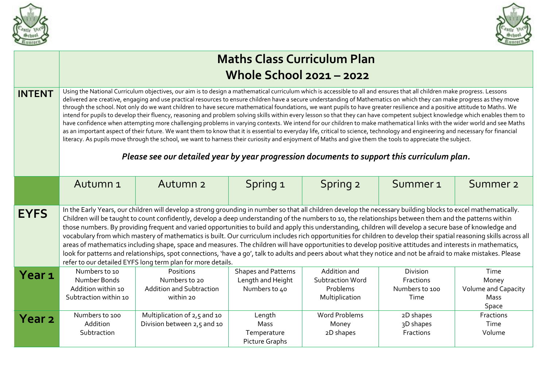



|                   | <b>Maths Class Curriculum Plan</b><br><b>Whole School 2021 - 2022</b>                                                                                                                                                                                                                                                                                                                                                                                                                                                                                                                                                                                                                                                                                                                                                                                                                                                                                                                                                                                                                                                                                                                                                                                                                                                                     |                                                                            |                                                                  |                                                                       |                                                 |                                                              |  |  |  |  |
|-------------------|-------------------------------------------------------------------------------------------------------------------------------------------------------------------------------------------------------------------------------------------------------------------------------------------------------------------------------------------------------------------------------------------------------------------------------------------------------------------------------------------------------------------------------------------------------------------------------------------------------------------------------------------------------------------------------------------------------------------------------------------------------------------------------------------------------------------------------------------------------------------------------------------------------------------------------------------------------------------------------------------------------------------------------------------------------------------------------------------------------------------------------------------------------------------------------------------------------------------------------------------------------------------------------------------------------------------------------------------|----------------------------------------------------------------------------|------------------------------------------------------------------|-----------------------------------------------------------------------|-------------------------------------------------|--------------------------------------------------------------|--|--|--|--|
| <b>INTENT</b>     | Using the National Curriculum objectives, our aim is to design a mathematical curriculum which is accessible to all and ensures that all children make progress. Lessons<br>delivered are creative, engaging and use practical resources to ensure children have a secure understanding of Mathematics on which they can make progress as they move<br>through the school. Not only do we want children to have secure mathematical foundations, we want pupils to have greater resilience and a positive attitude to Maths. We<br>intend for pupils to develop their fluency, reasoning and problem solving skills within every lesson so that they can have competent subject knowledge which enables them to<br>have confidence when attempting more challenging problems in varying contexts. We intend for our children to make mathematical links with the wider world and see Maths<br>as an important aspect of their future. We want them to know that it is essential to everyday life, critical to science, technology and engineering and necessary for financial<br>literacy. As pupils move through the school, we want to harness their curiosity and enjoyment of Maths and give them the tools to appreciate the subject.<br>Please see our detailed year by year progression documents to support this curriculum plan. |                                                                            |                                                                  |                                                                       |                                                 |                                                              |  |  |  |  |
|                   | Autumn <sub>1</sub>                                                                                                                                                                                                                                                                                                                                                                                                                                                                                                                                                                                                                                                                                                                                                                                                                                                                                                                                                                                                                                                                                                                                                                                                                                                                                                                       | Autumn <sub>2</sub>                                                        | Spring 1                                                         | Spring 2                                                              | Summer <sub>1</sub>                             | Summer <sub>2</sub>                                          |  |  |  |  |
| <b>EYFS</b>       | In the Early Years, our children will develop a strong grounding in number so that all children develop the necessary building blocks to excel mathematically.<br>Children will be taught to count confidently, develop a deep understanding of the numbers to 10, the relationships between them and the patterns within<br>those numbers. By providing frequent and varied opportunities to build and apply this understanding, children will develop a secure base of knowledge and<br>vocabulary from which mastery of mathematics is built. Our curriculum includes rich opportunities for children to develop their spatial reasoning skills across all<br>areas of mathematics including shape, space and measures. The children will have opportunities to develop positive attitudes and interests in mathematics,<br>look for patterns and relationships, spot connections, 'have a go', talk to adults and peers about what they notice and not be afraid to make mistakes. Please<br>refer to our detailed EYFS long term plan for more details.                                                                                                                                                                                                                                                                              |                                                                            |                                                                  |                                                                       |                                                 |                                                              |  |  |  |  |
| Year <sub>1</sub> | Numbers to 10<br>Number Bonds<br>Addition within 10<br>Subtraction within 10                                                                                                                                                                                                                                                                                                                                                                                                                                                                                                                                                                                                                                                                                                                                                                                                                                                                                                                                                                                                                                                                                                                                                                                                                                                              | Positions<br>Numbers to 20<br><b>Addition and Subtraction</b><br>within 20 | <b>Shapes and Patterns</b><br>Length and Height<br>Numbers to 40 | Addition and<br><b>Subtraction Word</b><br>Problems<br>Multiplication | Division<br>Fractions<br>Numbers to 100<br>Time | Time<br>Money<br><b>Volume and Capacity</b><br>Mass<br>Space |  |  |  |  |
| Year <sub>2</sub> | Numbers to 100<br>Addition<br>Subtraction                                                                                                                                                                                                                                                                                                                                                                                                                                                                                                                                                                                                                                                                                                                                                                                                                                                                                                                                                                                                                                                                                                                                                                                                                                                                                                 | Multiplication of 2,5 and 10<br>Division between 2,5 and 10                | Length<br>Mass<br>Temperature<br>Picture Graphs                  | <b>Word Problems</b><br>Money<br>2D shapes                            | 2D shapes<br>3D shapes<br>Fractions             | Fractions<br>Time<br>Volume                                  |  |  |  |  |